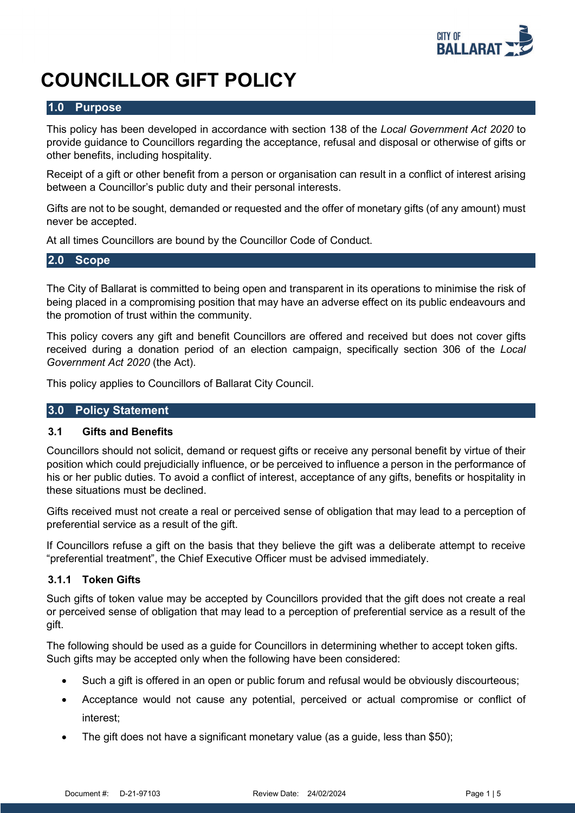

# **COUNCILLOR GIFT POLICY**

# **1.0 Purpose**

This policy has been developed in accordance with section 138 of the *Local Government Act 2020* to provide guidance to Councillors regarding the acceptance, refusal and disposal or otherwise of gifts or other benefits, including hospitality.

Receipt of a gift or other benefit from a person or organisation can result in a conflict of interest arising between a Councillor's public duty and their personal interests.

Gifts are not to be sought, demanded or requested and the offer of monetary gifts (of any amount) must never be accepted.

At all times Councillors are bound by the Councillor Code of Conduct.

# **2.0 Scope**

The City of Ballarat is committed to being open and transparent in its operations to minimise the risk of being placed in a compromising position that may have an adverse effect on its public endeavours and the promotion of trust within the community.

This policy covers any gift and benefit Councillors are offered and received but does not cover gifts received during a donation period of an election campaign, specifically section 306 of the *Local Government Act 2020* (the Act).

This policy applies to Councillors of Ballarat City Council.

# **3.0 Policy Statement**

# **3.1 Gifts and Benefits**

Councillors should not solicit, demand or request gifts or receive any personal benefit by virtue of their position which could prejudicially influence, or be perceived to influence a person in the performance of his or her public duties. To avoid a conflict of interest, acceptance of any gifts, benefits or hospitality in these situations must be declined.

Gifts received must not create a real or perceived sense of obligation that may lead to a perception of preferential service as a result of the gift.

If Councillors refuse a gift on the basis that they believe the gift was a deliberate attempt to receive "preferential treatment", the Chief Executive Officer must be advised immediately.

# **3.1.1 Token Gifts**

Such gifts of token value may be accepted by Councillors provided that the gift does not create a real or perceived sense of obligation that may lead to a perception of preferential service as a result of the gift.

The following should be used as a guide for Councillors in determining whether to accept token gifts. Such gifts may be accepted only when the following have been considered:

- Such a gift is offered in an open or public forum and refusal would be obviously discourteous;
- Acceptance would not cause any potential, perceived or actual compromise or conflict of interest;
- The gift does not have a significant monetary value (as a guide, less than \$50);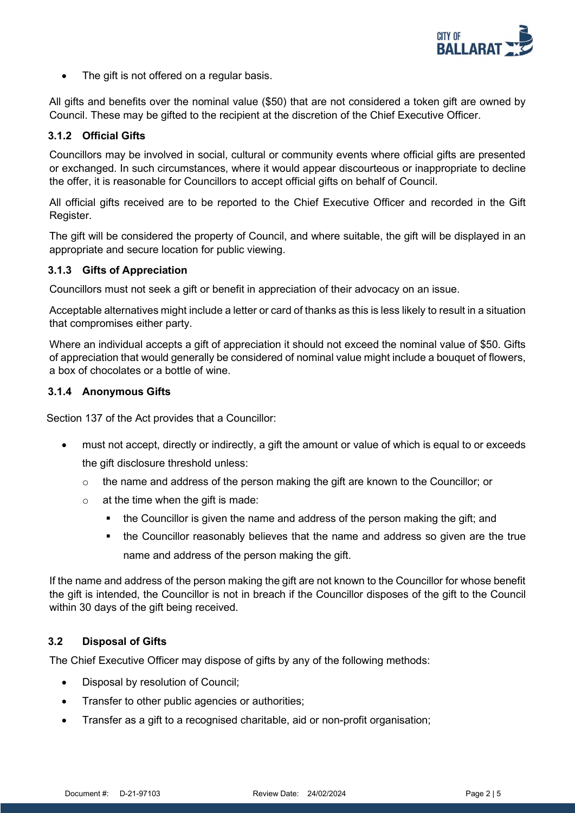

• The gift is not offered on a regular basis.

All gifts and benefits over the nominal value (\$50) that are not considered a token gift are owned by Council. These may be gifted to the recipient at the discretion of the Chief Executive Officer.

# **3.1.2 Official Gifts**

Councillors may be involved in social, cultural or community events where official gifts are presented or exchanged. In such circumstances, where it would appear discourteous or inappropriate to decline the offer, it is reasonable for Councillors to accept official gifts on behalf of Council.

All official gifts received are to be reported to the Chief Executive Officer and recorded in the Gift Register.

The gift will be considered the property of Council, and where suitable, the gift will be displayed in an appropriate and secure location for public viewing.

#### **3.1.3 Gifts of Appreciation**

Councillors must not seek a gift or benefit in appreciation of their advocacy on an issue.

Acceptable alternatives might include a letter or card of thanks as this is less likely to result in a situation that compromises either party.

Where an individual accepts a gift of appreciation it should not exceed the nominal value of \$50. Gifts of appreciation that would generally be considered of nominal value might include a bouquet of flowers, a box of chocolates or a bottle of wine.

# **3.1.4 Anonymous Gifts**

Section 137 of the Act provides that a Councillor:

- must not accept, directly or indirectly, a gift the amount or value of which is equal to or exceeds the gift disclosure threshold unless:
	- $\circ$  the name and address of the person making the gift are known to the Councillor; or
	- $\circ$  at the time when the gift is made:
		- the Councillor is given the name and address of the person making the gift; and
		- the Councillor reasonably believes that the name and address so given are the true name and address of the person making the gift.

If the name and address of the person making the gift are not known to the Councillor for whose benefit the gift is intended, the Councillor is not in breach if the Councillor disposes of the gift to the Council within 30 days of the gift being received.

# **3.2 Disposal of Gifts**

The Chief Executive Officer may dispose of gifts by any of the following methods:

- Disposal by resolution of Council;
- Transfer to other public agencies or authorities;
- Transfer as a gift to a recognised charitable, aid or non-profit organisation;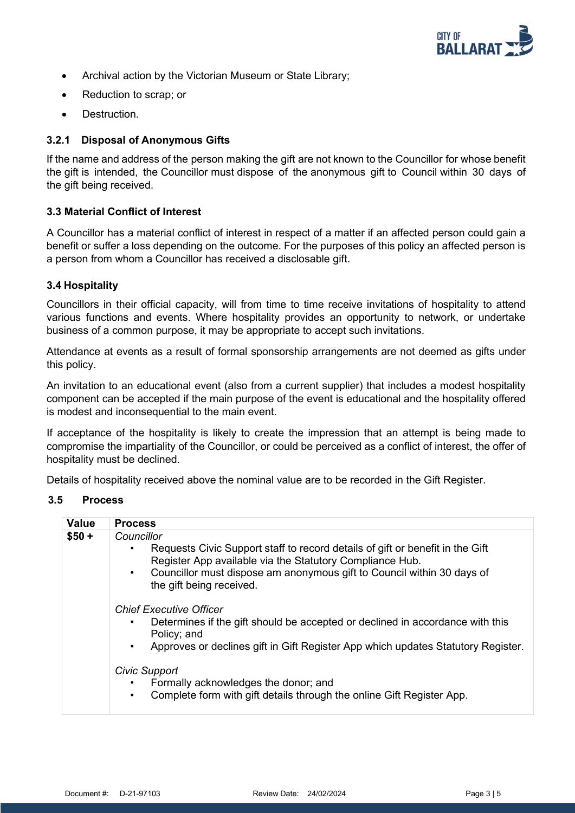

- Archival action by the Victorian Museum or State Library;
- Reduction to scrap; or
- Destruction.

## **3.2.1 Disposal of Anonymous Gifts**

If the name and address of the person making the gift are not known to the Councillor for whose benefit the gift is intended, the Councillor must dispose of the anonymous gift to Council within 30 days of the gift being received.

#### **3.3 Material Conflict of Interest**

A Councillor has a material conflict of interest in respect of a matter if an affected person could gain a benefit or suffer a loss depending on the outcome. For the purposes of this policy an affected person is a person from whom a Councillor has received a disclosable gift.

#### **3.4 Hospitality**

Councillors in their official capacity, will from time to time receive invitations of hospitality to attend various functions and events. Where hospitality provides an opportunity to network, or undertake business of a common purpose, it may be appropriate to accept such invitations.

Attendance at events as a result of formal sponsorship arrangements are not deemed as gifts under this policy.

An invitation to an educational event (also from a current supplier) that includes a modest hospitality component can be accepted if the main purpose of the event is educational and the hospitality offered is modest and inconsequential to the main event.

If acceptance of the hospitality is likely to create the impression that an attempt is being made to compromise the impartiality of the Councillor, or could be perceived as a conflict of interest, the offer of hospitality must be declined.

Details of hospitality received above the nominal value are to be recorded in the Gift Register.

#### **3.5 Process**

| <b>Value</b>                   | <b>Process</b>                                                                                                                                                                                                                   |  |
|--------------------------------|----------------------------------------------------------------------------------------------------------------------------------------------------------------------------------------------------------------------------------|--|
| $$50 +$                        | Councillor                                                                                                                                                                                                                       |  |
|                                | Requests Civic Support staff to record details of gift or benefit in the Gift<br>Register App available via the Statutory Compliance Hub.<br>Councillor must dispose am anonymous gift to Council within 30 days of<br>$\bullet$ |  |
|                                | the gift being received.                                                                                                                                                                                                         |  |
| <b>Chief Executive Officer</b> |                                                                                                                                                                                                                                  |  |
|                                | Determines if the gift should be accepted or declined in accordance with this<br>٠<br>Policy; and                                                                                                                                |  |
|                                | Approves or declines gift in Gift Register App which updates Statutory Register.<br>$\bullet$                                                                                                                                    |  |
|                                | Civic Support                                                                                                                                                                                                                    |  |
|                                | Formally acknowledges the donor; and                                                                                                                                                                                             |  |
|                                | Complete form with gift details through the online Gift Register App.<br>$\bullet$                                                                                                                                               |  |
|                                |                                                                                                                                                                                                                                  |  |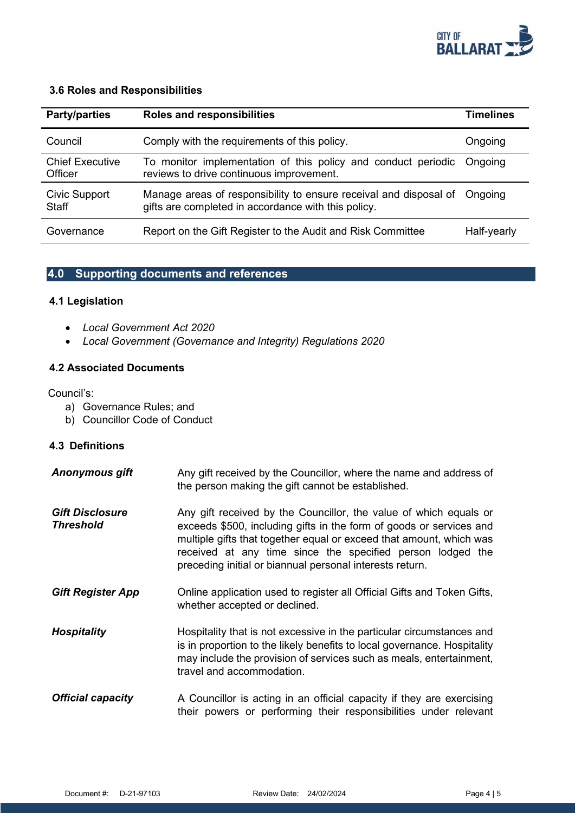

#### **3.6 Roles and Responsibilities**

| <b>Party/parties</b>                 | Roles and responsibilities                                                                                               | <b>Timelines</b> |
|--------------------------------------|--------------------------------------------------------------------------------------------------------------------------|------------------|
| Council                              | Comply with the requirements of this policy.                                                                             | Ongoing          |
| <b>Chief Executive</b><br>Officer    | To monitor implementation of this policy and conduct periodic<br>reviews to drive continuous improvement.                | Ongoing          |
| <b>Civic Support</b><br><b>Staff</b> | Manage areas of responsibility to ensure receival and disposal of<br>gifts are completed in accordance with this policy. | Ongoing          |
| Governance                           | Report on the Gift Register to the Audit and Risk Committee                                                              | Half-yearly      |

# **4.0 Supporting documents and references**

# **4.1 Legislation**

- *Local Government Act 2020*
- *Local Government (Governance and Integrity) Regulations 2020*

# **4.2 Associated Documents**

Council's:

- a) Governance Rules; and
- b) Councillor Code of Conduct

# **4.3 Definitions**

| <b>Anonymous gift</b>                      | Any gift received by the Councillor, where the name and address of<br>the person making the gift cannot be established.                                                                                                                                                                                                                   |
|--------------------------------------------|-------------------------------------------------------------------------------------------------------------------------------------------------------------------------------------------------------------------------------------------------------------------------------------------------------------------------------------------|
| <b>Gift Disclosure</b><br><b>Threshold</b> | Any gift received by the Councillor, the value of which equals or<br>exceeds \$500, including gifts in the form of goods or services and<br>multiple gifts that together equal or exceed that amount, which was<br>received at any time since the specified person lodged the<br>preceding initial or biannual personal interests return. |
| <b>Gift Register App</b>                   | Online application used to register all Official Gifts and Token Gifts,<br>whether accepted or declined.                                                                                                                                                                                                                                  |
| <b>Hospitality</b>                         | Hospitality that is not excessive in the particular circumstances and<br>is in proportion to the likely benefits to local governance. Hospitality<br>may include the provision of services such as meals, entertainment,<br>travel and accommodation.                                                                                     |
| <b>Official capacity</b>                   | A Councillor is acting in an official capacity if they are exercising<br>their powers or performing their responsibilities under relevant                                                                                                                                                                                                 |